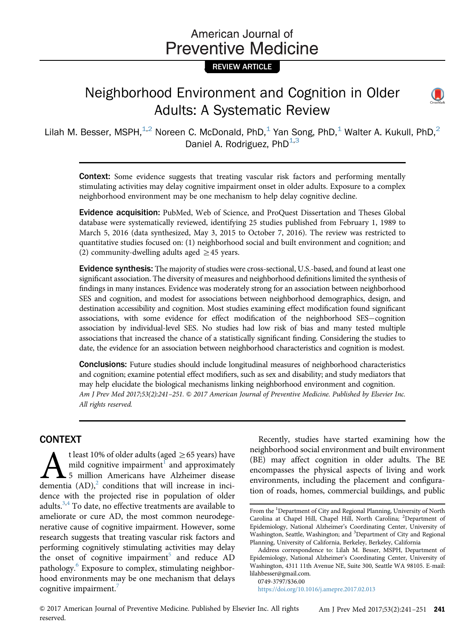# American Journal of **Preventive Medicine**

# REVIEW ARTICLE

# Neighborhood Environment and Cognition in Older Adults: A Systematic Review



Lilah M. Besser, MSPH, $^{1,2}$  Noreen C. McDonald, PhD, $^{1}$  Yan Song, PhD, $^{1}$  Walter A. Kukull, PhD, $^{2}$ Daniel A. Rodriguez, PhD<sup>1,3</sup>

Context: Some evidence suggests that treating vascular risk factors and performing mentally stimulating activities may delay cognitive impairment onset in older adults. Exposure to a complex neighborhood environment may be one mechanism to help delay cognitive decline.

Evidence acquisition: PubMed, Web of Science, and ProQuest Dissertation and Theses Global database were systematically reviewed, identifying 25 studies published from February 1, 1989 to March 5, 2016 (data synthesized, May 3, 2015 to October 7, 2016). The review was restricted to quantitative studies focused on: (1) neighborhood social and built environment and cognition; and (2) community-dwelling adults aged  $\geq$  45 years.

Evidence synthesis: The majority of studies were cross-sectional, U.S.-based, and found at least one significant association. The diversity of measures and neighborhood definitions limited the synthesis of findings in many instances. Evidence was moderately strong for an association between neighborhood SES and cognition, and modest for associations between neighborhood demographics, design, and destination accessibility and cognition. Most studies examining effect modification found significant associations, with some evidence for effect modification of the neighborhood SES-cognition association by individual-level SES. No studies had low risk of bias and many tested multiple associations that increased the chance of a statistically significant finding. Considering the studies to date, the evidence for an association between neighborhood characteristics and cognition is modest.

Conclusions: Future studies should include longitudinal measures of neighborhood characteristics and cognition; examine potential effect modifiers, such as sex and disability; and study mediators that may help elucidate the biological mechanisms linking neighborhood environment and cognition. Am J Prev Med 2017;53(2):241–251. & 2017 American Journal of Preventive Medicine. Published by Elsevier Inc. All rights reserved.

# CONTEXT

t least 10% of older adults ([ag](#page-8-0)ed  $\geq$  65 years) have<br>mild cognitive impairment<sup>1</sup> and approximately<br>dementia (AD).<sup>2</sup> conditions that will increase in incimild cognitive impairment<sup>1</sup> and approximately 5 million Americans have Alzheimer disease dementia  $(AD)$ , conditions that will increase in incidence with the projected rise in population of older adults. $3,4$  $3,4$  To date, no effective treatments are available to ameliorate or cure AD, the most common neurodegenerative cause of cognitive impairment. However, some research suggests that treating vascular risk factors and performing cognitively stimulating activities may delay the onset of cognitive impairment<sup>5</sup> and reduce  $AD$ pathology.<sup>[6](#page-8-0)</sup> Exposure to complex, stimulating neighborhood environments may be one mechanism that delays cognitive impairment.<sup>[7](#page-8-0)</sup>

Recently, studies have started examining how the neighborhood social environment and built environment (BE) may affect cognition in older adults. The BE encompasses the physical aspects of living and work environments, including the placement and configuration of roads, homes, commercial buildings, and public

<https://doi.org/10.1016/j.amepre.2017.02.013>

From the <sup>1</sup>Department of City and Regional Planning, University of North Carolina at Chapel Hill, Chapel Hill, North Carolina; <sup>2</sup>Department of Epidemiology, National Alzheimer's Coordinating Center, University of Washington, Seattle, Washington; and <sup>3</sup>Department of City and Regional Planning, University of California, Berkeley, Berkeley, California

Address correspondence to: Lilah M. Besser, MSPH, Department of Epidemiology, National Alzheimer's Coordinating Center, University of Washington, 4311 11th Avenue NE, Suite 300, Seattle WA 98105. E-mail: [lilahbesser@gmail.com.](mailto:lilahbesser@gmail.com)

<sup>0749-3797/\$36.00</sup>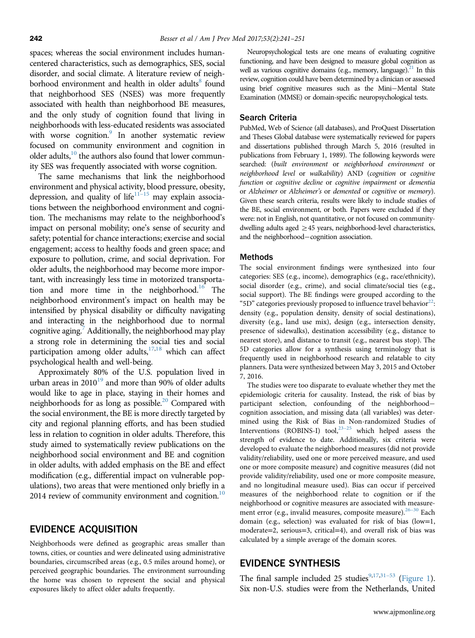spaces; whereas the social environment includes humancentered characteristics, such as demographics, SES, social disorder, and social climate. A literature review of neighborhood environment and health in older adults<sup>8</sup> found that neighborhood SES (NSES) was more frequently associated with health than neighborhood BE measures, and the only study of cognition found that living in neighborhoods with less-educated residents was associated with worse cognition.<sup>9</sup> In another systematic review focused on community environment and cognition in older adults, $10$  the authors also found that lower community SES was frequently associated with worse cognition.

The same mechanisms that link the neighborhood environment and physical activity, blood pressure, obesity, depression, and quality of life<sup>[11](#page-8-0)–[15](#page-8-0)</sup> may explain associations between the neighborhood environment and cognition. The mechanisms may relate to the neighborhood's impact on personal mobility; one's sense of security and safety; potential for chance interactions; exercise and social engagement; access to healthy foods and green space; and exposure to pollution, crime, and social deprivation. For older adults, the neighborhood may become more important, with increasingly less time in motorized transporta-tion and more time in the neighborhood.<sup>[16](#page-8-0)</sup> The neighborhood environment's impact on health may be intensified by physical disability or difficulty navigating and interacting in the neighborhood due to normal cognitive aging.<sup>7</sup> Additionally, the neighborhood may play a strong role in determining the social ties and social participation among older adults, $17,18$  $17,18$  $17,18$  which can affect psychological health and well-being.

Approximately 80% of the U.S. population lived in urban areas in  $2010^{19}$  $2010^{19}$  $2010^{19}$  and more than 90% of older adults would like to age in place, staying in their homes and neighborhoods for as long as possible.<sup>[20](#page-8-0)</sup> Compared with the social environment, the BE is more directly targeted by city and regional planning efforts, and has been studied less in relation to cognition in older adults. Therefore, this study aimed to systematically review publications on the neighborhood social environment and BE and cognition in older adults, with added emphasis on the BE and effect modification (e.g., differential impact on vulnerable populations), two areas that were mentioned only briefly in a 2014 review of community environment and cognition.<sup>[10](#page-8-0)</sup>

### EVIDENCE ACQUISITION

Neighborhoods were defined as geographic areas smaller than towns, cities, or counties and were delineated using administrative boundaries, circumscribed areas (e.g., 0.5 miles around home), or perceived geographic boundaries. The environment surrounding the home was chosen to represent the social and physical exposures likely to affect older adults frequently.

Neuropsychological tests are one means of evaluating cognitive functioning, and have been designed to measure global cognition as well as various cognitive domains (e.g., memory, language).<sup>21</sup> In this review, cognition could have been determined by a clinician or assessed using brief cognitive measures such as the Mini-Mental State Examination (MMSE) or domain-specific neuropsychological tests.

#### Search Criteria

PubMed, Web of Science (all databases), and ProQuest Dissertation and Theses Global database were systematically reviewed for papers and dissertations published through March 5, 2016 (resulted in publications from February 1, 1989). The following keywords were searched: (built environment or neighborhood environment or neighborhood level or walkability) AND (cognition or cognitive function or cognitive decline or cognitive impairment or dementia or Alzheimer or Alzheimer's or demented or cognitive or memory). Given these search criteria, results were likely to include studies of the BE, social environment, or both. Papers were excluded if they were: not in English, not quantitative, or not focused on communitydwelling adults aged  $\geq$  45 years, neighborhood-level characteristics, and the neighborhood-cognition association.

#### Methods

The social environment findings were synthesized into four categories: SES (e.g., income), demographics (e.g., race/ethnicity), social disorder (e.g., crime), and social climate/social ties (e.g., social support). The BE findings were grouped according to the "5D" categories previously proposed to influence travel behavior<sup>[22](#page-8-0)</sup>: density (e.g., population density, density of social destinations), diversity (e.g., land use mix), design (e.g., intersection density, presence of sidewalks), destination accessibility (e.g., distance to nearest store), and distance to transit (e.g., nearest bus stop). The 5D categories allow for a synthesis using terminology that is frequently used in neighborhood research and relatable to city planners. Data were synthesized between May 3, 2015 and October 7, 2016.

The studies were too disparate to evaluate whether they met the epidemiologic criteria for causality. Instead, the risk of bias by participant selection, confounding of the neighborhood cognition association, and missing data (all variables) was determined using the Risk of Bias in Non-randomized Studies of Interventions (ROBINS-I) tool, $^{23-25}$  $^{23-25}$  $^{23-25}$  which helped assess the strength of evidence to date. Additionally, six criteria were developed to evaluate the neighborhood measures (did not provide validity/reliability, used one or more perceived measure, and used one or more composite measure) and cognitive measures (did not provide validity/reliability, used one or more composite measure, and no longitudinal measure used). Bias can occur if perceived measures of the neighborhood relate to cognition or if the neighborhood or cognitive measures are associated with measure-ment error (e.g., invalid measures, composite measure).<sup>[26](#page-8-0)-[30](#page-8-0)</sup> Each domain (e.g., selection) was evaluated for risk of bias (low=1, moderate=2, serious=3, critical=4), and overall risk of bias was calculated by a simple average of the domain scores.

# EVIDENCE SYNTHESIS

The final sample included 25 studies<sup>9,17,31–[53](#page-9-0)</sup> [\(Figure 1](#page-2-0)). Six non-U.S. studies were from the Netherlands, United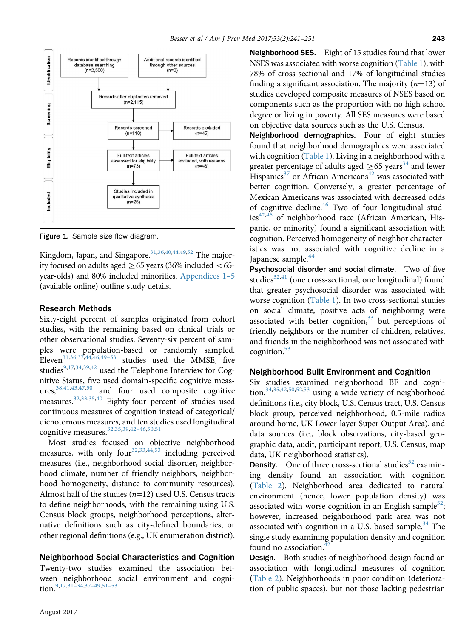<span id="page-2-0"></span>

Figure 1. Sample size flow diagram.

Kingdom, Japan, and Singapore.<sup>31,36,[40,44,49,52](#page-9-0)</sup> The majority focused on adults aged  $\geq$  65 years (36% included <65year-olds) and 80% included minorities. [Appendices 1](#page-8-0)–5 (available online) outline study details.

#### Research Methods

Sixty-eight percent of samples originated from cohort studies, with the remaining based on clinical trials or other observational studies. Seventy-six percent of samples were population-based or randomly sampled. Eleven<sup>[31](#page-8-0)[,36,37,44](#page-9-0),[46,49](#page-9-0)–[53](#page-9-0)</sup> studies used the MMSE, five studies<sup>[9,17,](#page-8-0)[34](#page-9-0),[39,42](#page-9-0)</sup> used the Telephone Interview for Cognitive Status, five used domain-specific cognitive measures,  $38,41,43,47,50$  $38,41,43,47,50$  $38,41,43,47,50$  and four used composite cognitive measures[.32,](#page-8-0)[33,35](#page-9-0),[40](#page-9-0) Eighty-four percent of studies used continuous measures of cognition instead of categorical/ dichotomous measures, and ten studies used longitudinal cognitive measures.<sup>32,[35,39](#page-9-0),[42](#page-9-0)–[46,50](#page-9-0),[51](#page-9-0)</sup>

Most studies focused on objective neighborhood measures, with only four  $32,33,44,53$  $32,33,44,53$  $32,33,44,53$  including perceived measures (i.e., neighborhood social disorder, neighborhood climate, number of friendly neighbors, neighborhood homogeneity, distance to community resources). Almost half of the studies  $(n=12)$  used U.S. Census tracts to define neighborhoods, with the remaining using U.S. Census block groups, neighborhood perceptions, alternative definitions such as city-defined boundaries, or other regional definitions (e.g., UK enumeration district).

Neighborhood Social Characteristics and Cognition Twenty-two studies examined the association between neighborhood social environment and cognition[.9,17](#page-8-0),[31](#page-8-0)–[34,37](#page-9-0)–[49,51](#page-9-0)–[53](#page-9-0)

Neighborhood SES. Eight of 15 studies found that lower NSES was associated with worse cognition ([Table 1](#page-3-0)), with 78% of cross-sectional and 17% of longitudinal studies finding a significant association. The majority  $(n=13)$  of studies developed composite measures of NSES based on components such as the proportion with no high school degree or living in poverty. All SES measures were based on objective data sources such as the U.S. Census.

Neighborhood demographics. Four of eight studies found that neighborhood demographics were associated with cognition [\(Table 1\)](#page-3-0). Living in a neighborhood with a greater percentage of adults aged  $\geq 65$  years<sup>[34](#page-9-0)</sup> and fewer Hispanics<sup>37</sup> or African Americans<sup>[42](#page-9-0)</sup> was associated with better cognition. Conversely, a greater percentage of Mexican Americans was associated with decreased odds of cognitive decline. $46$  Two of four longitudinal studies $42,46$  of neighborhood race (African American, Hispanic, or minority) found a significant association with cognition. Perceived homogeneity of neighbor characteristics was not associated with cognitive decline in a Japanese sample.<sup>[44](#page-9-0)</sup>

Psychosocial disorder and social climate. Two of five studies $32,41$  $32,41$  (one cross-sectional, one longitudinal) found that greater psychosocial disorder was associated with worse cognition [\(Table 1\)](#page-3-0). In two cross-sectional studies on social climate, positive acts of neighboring were associated with better cognition,  $33$  but perceptions of friendly neighbors or the number of children, relatives, and friends in the neighborhood was not associated with cognition.<sup>[53](#page-9-0)</sup>

#### Neighborhood Built Environment and Cognition

Six studies examined neighborhood BE and cognition, 34, 35, 42, 50, 52, 53 using a wide variety of neighborhood definitions (i.e., city block, U.S. Census tract, U.S. Census block group, perceived neighborhood, 0.5-mile radius around home, UK Lower-layer Super Output Area), and data sources (i.e., block observations, city-based geographic data, audit, participant report, U.S. Census, map data, UK neighborhood statistics).

**Density.** One of three cross-sectional studies<sup>52</sup> examining density found an association with cognition ([Table 2\)](#page-4-0). Neighborhood area dedicated to natural environment (hence, lower population density) was associated with worse cognition in an English sample<sup>52</sup>; however, increased neighborhood park area was not associated with cognition in a U.S.-based sample. $34$  The single study examining population density and cognition found no association. $42$ 

Design. Both studies of neighborhood design found an association with longitudinal measures of cognition ([Table 2](#page-4-0)). Neighborhoods in poor condition (deterioration of public spaces), but not those lacking pedestrian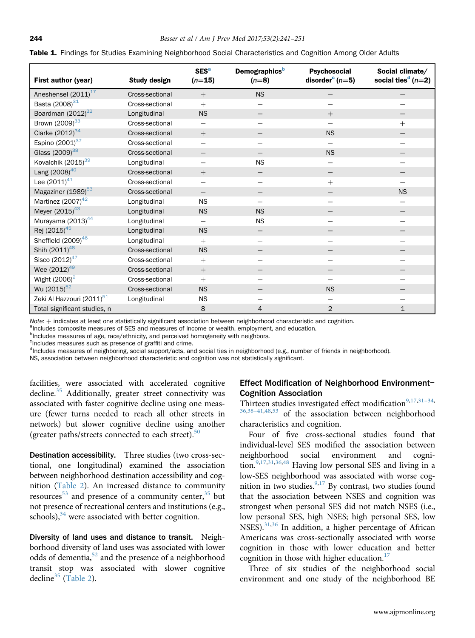<span id="page-3-0"></span>

| First author (year)                   | Study design    | <b>SES<sup>a</sup></b><br>$(n=15)$ | Demographics <sup>b</sup><br>$(n=8)$ | Psychosocial<br>disorder $c(n=5)$ | Social climate/<br>social ties <sup><math>d</math></sup> ( $n=2$ ) |
|---------------------------------------|-----------------|------------------------------------|--------------------------------------|-----------------------------------|--------------------------------------------------------------------|
| Aneshensel (2011) <sup>17</sup>       | Cross-sectional | $+$                                | <b>NS</b>                            |                                   |                                                                    |
| Basta (2008) <sup>31</sup>            | Cross-sectional | $+$                                |                                      |                                   |                                                                    |
| Boardman (2012) <sup>32</sup>         | Longitudinal    | <b>NS</b>                          |                                      | $^{+}$                            |                                                                    |
| Brown (2009) <sup>33</sup>            | Cross-sectional |                                    | -                                    |                                   | $^{+}$                                                             |
| Clarke $(2012)^{34}$                  | Cross-sectional | $^{+}$                             | $^{+}$                               | <b>NS</b>                         |                                                                    |
| Espino (2001) <sup>37</sup>           | Cross-sectional |                                    | $^{+}$                               | —                                 |                                                                    |
| Glass $(2009)^{38}$                   | Cross-sectional |                                    |                                      | <b>NS</b>                         |                                                                    |
| Kovalchik (2015) <sup>39</sup>        | Longitudinal    |                                    | <b>NS</b>                            |                                   |                                                                    |
| Lang (2008) <sup>40</sup>             | Cross-sectional | $^{+}$                             |                                      |                                   |                                                                    |
| Lee $(2011)^{41}$                     | Cross-sectional |                                    |                                      | $+$                               |                                                                    |
| Magaziner (1989) <sup>53</sup>        | Cross-sectional | —                                  |                                      |                                   | <b>NS</b>                                                          |
| Martinez $(2007)^{42}$                | Longitudinal    | <b>NS</b>                          | $^{+}$                               |                                   |                                                                    |
| Meyer (2015) <sup>43</sup>            | Longitudinal    | <b>NS</b>                          | <b>NS</b>                            |                                   |                                                                    |
| Murayama (2013) <sup>44</sup>         | Longitudinal    | $\overline{\phantom{0}}$           | <b>NS</b>                            |                                   |                                                                    |
| Rej (2015) <sup>45</sup>              | Longitudinal    | <b>NS</b>                          | $\qquad \qquad -$                    |                                   |                                                                    |
| Sheffield (2009) <sup>46</sup>        | Longitudinal    | $+$                                | $^{+}$                               |                                   |                                                                    |
| Shih (2011) <sup>48</sup>             | Cross-sectional | NS                                 |                                      |                                   |                                                                    |
| Sisco (2012) <sup>47</sup>            | Cross-sectional | $+$                                |                                      |                                   |                                                                    |
| Wee (2012) <sup>49</sup>              | Cross-sectional | $+$                                |                                      |                                   |                                                                    |
| Wight (2006) <sup>9</sup>             | Cross-sectional | $+$                                |                                      |                                   |                                                                    |
| Wu (2015) <sup>52</sup>               | Cross-sectional | <b>NS</b>                          |                                      | <b>NS</b>                         |                                                                    |
| Zeki Al Hazzouri (2011) <sup>51</sup> | Longitudinal    | <b>NS</b>                          |                                      |                                   |                                                                    |
| Total significant studies, n          |                 | 8                                  | 4                                    | $\overline{2}$                    | $\mathbf{1}$                                                       |

Note:  $+$  indicates at least one statistically significant association between neighborhood characteristic and cognition.

<sup>a</sup>Includes composite measures of SES and measures of income or wealth, employment, and education.

<sup>b</sup>Includes measures of age, race/ethnicity, and perceived homogeneity with neighbors.

<sup>c</sup>includes measures such as presence of graffiti and crime.

<sup>d</sup>Includes measures of neighboring, social support/acts, and social ties in neighborhood (e.g., number of friends in neighborhood).

NS, association between neighborhood characteristic and cognition was not statistically significant.

facilities, were associated with accelerated cognitive decline. $35$  Additionally, greater street connectivity was associated with faster cognitive decline using one measure (fewer turns needed to reach all other streets in network) but slower cognitive decline using another (greater paths/streets connected to each street). $50$ 

Destination accessibility. Three studies (two cross-sectional, one longitudinal) examined the association between neighborhood destination accessibility and cognition [\(Table 2\)](#page-4-0). An increased distance to community resources $53$  and presence of a community center,  $35$  but not presence of recreational centers and institutions (e.g., schools), $34$  were associated with better cognition.

Diversity of land uses and distance to transit. Neighborhood diversity of land uses was associated with lower odds of dementia,<sup>52</sup> and the presence of a neighborhood transit stop was associated with slower cognitive decline<sup>[35](#page-9-0)</sup> ([Table 2](#page-4-0)).

#### Effect Modification of Neighborhood Environment– Cognition Association

Thirteen studies investigated effect modification<sup>9,[17,31](#page-8-0)-[34](#page-9-0),</sup> [36,38](#page-9-0)–[41,48,53](#page-9-0) of the association between neighborhood characteristics and cognition.

Four of five cross-sectional studies found that individual-level SES modified the association between neighborhood social environment and cogni-tion.<sup>9,17,[31](#page-8-0)[,36,48](#page-9-0)</sup> Having low personal SES and living in a low-SES neighborhood was associated with worse cognition in two studies. $9,17$  By contrast, two studies found that the association between NSES and cognition was strongest when personal SES did not match NSES (i.e., low personal SES, high NSES; high personal SES, low NSES). $^{31,36}$  $^{31,36}$  $^{31,36}$  In addition, a higher percentage of African Americans was cross-sectionally associated with worse cognition in those with lower education and better cognition in those with higher education. $17$ 

Three of six studies of the neighborhood social environment and one study of the neighborhood BE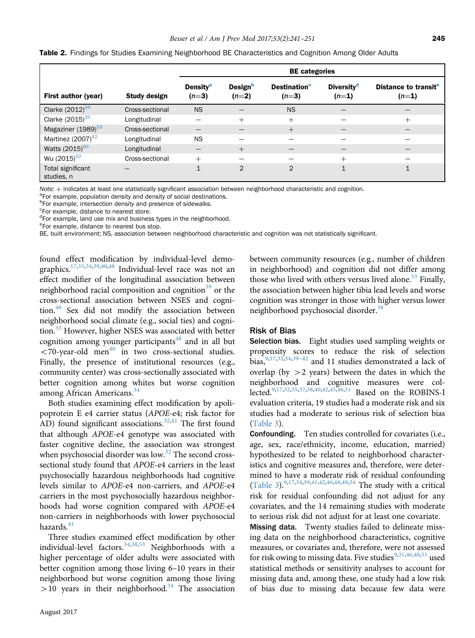|                                 |                 | <b>BE</b> categories                  |                          |                                            |                                         |                                             |  |  |
|---------------------------------|-----------------|---------------------------------------|--------------------------|--------------------------------------------|-----------------------------------------|---------------------------------------------|--|--|
| <b>First author (year)</b>      | Study design    | <b>Density<sup>a</sup></b><br>$(n=3)$ | <b>Design</b><br>$(n=2)$ | <b>Destination</b> <sup>c</sup><br>$(n=3)$ | <b>Diversity<sup>a</sup></b><br>$(n=1)$ | Distance to transit <sup>e</sup><br>$(n=1)$ |  |  |
| Clarke $(2012)^{34}$            | Cross-sectional | <b>NS</b>                             |                          | <b>NS</b>                                  |                                         |                                             |  |  |
| Clarke $(2015)^{35}$            | Longitudinal    |                                       |                          | $^{+}$                                     |                                         | $^{+}$                                      |  |  |
| Magaziner (1989) <sup>53</sup>  | Cross-sectional |                                       |                          | $^{+}$                                     |                                         |                                             |  |  |
| Martinez $(2007)^{42}$          | Longitudinal    | <b>NS</b>                             |                          |                                            |                                         |                                             |  |  |
| Watts (2015) <sup>50</sup>      | Longitudinal    |                                       | $^{+}$                   |                                            |                                         |                                             |  |  |
| Wu (2015) <sup>52</sup>         | Cross-sectional | $^{+}$                                |                          |                                            |                                         |                                             |  |  |
| Total significant<br>studies, n |                 |                                       | $\mathfrak{D}$           | $\overline{2}$                             | 1                                       |                                             |  |  |

<span id="page-4-0"></span>

|  |  |  |  |  |  | Table 2. Findings for Studies Examining Neighborhood BE Characteristics and Cognition Among Older Adults |  |  |  |  |
|--|--|--|--|--|--|----------------------------------------------------------------------------------------------------------|--|--|--|--|
|--|--|--|--|--|--|----------------------------------------------------------------------------------------------------------|--|--|--|--|

Note: + indicates at least one statistically significant association between neighborhood characteristic and cognition.

<sup>a</sup>For example, population density and density of social destinations.

<sup>b</sup>For example, intersection density and presence of sidewalks.

c For example, distance to nearest store.

<sup>d</sup>For example, land use mix and business types in the neighborhood.

e For example, distance to nearest bus stop.

BE, built environment; NS, association between neighborhood characteristic and cognition was not statistically significant.

found effect modification by individual-level demo-graphics.<sup>17,[33](#page-9-0),[34,39,40](#page-9-0),[48](#page-9-0)</sup> Individual-level race was not an effect modifier of the longitudinal association between neighborhood racial composition and cognition $39$  or the cross-sectional association between NSES and cognition.<sup>48</sup> Sex did not modify the association between neighborhood social climate (e.g., social ties) and cognition.<sup>33</sup> However, higher NSES was associated with better cognition among younger participants<sup>[48](#page-9-0)</sup> and in all but  $<$  70-year-old men<sup>[40](#page-9-0)</sup> in two cross-sectional studies. Finally, the presence of institutional resources (e.g., community center) was cross-sectionally associated with better cognition among whites but worse cognition among African Americans.<sup>[34](#page-9-0)</sup>

Both studies examining effect modification by apolipoprotein E e4 carrier status (APOE-e4; risk factor for AD) found significant associations.<sup>[32](#page-8-0),[41](#page-9-0)</sup> The first found that although APOE-e4 genotype was associated with faster cognitive decline, the association was strongest when psychosocial disorder was low. $32$  The second crosssectional study found that APOE-e4 carriers in the least psychosocially hazardous neighborhoods had cognitive levels similar to APOE-e4 non-carriers, and APOE-e4 carriers in the most psychosocially hazardous neighborhoods had worse cognition compared with APOE-e4 non-carriers in neighborhoods with lower psychosocial hazards.<sup>41</sup>

Three studies examined effect modification by other individual-level factors.  $34,38,53$  Neighborhoods with a higher percentage of older adults were associated with better cognition among those living 6–10 years in their neighborhood but worse cognition among those living  $>$ 10 years in their neighborhood.<sup>34</sup> The association

August 2017

between community resources (e.g., number of children in neighborhood) and cognition did not differ among those who lived with others versus lived alone.<sup>[53](#page-9-0)</sup> Finally, the association between higher tibia lead levels and worse cognition was stronger in those with higher versus lower neighborhood psychosocial disorder.<sup>[38](#page-9-0)</sup>

#### Risk of Bias

Selection bias. Eight studies used sampling weights or propensity scores to reduce the risk of selection  $\frac{1}{2}$  bias,  $\frac{9,17,32,34,39-42}{9,17,32,34,39-42}$  $\frac{9,17,32,34,39-42}{9,17,32,34,39-42}$  $\frac{9,17,32,34,39-42}{9,17,32,34,39-42}$  $\frac{9,17,32,34,39-42}{9,17,32,34,39-42}$  $\frac{9,17,32,34,39-42}{9,17,32,34,39-42}$  $\frac{9,17,32,34,39-42}{9,17,32,34,39-42}$  $\frac{9,17,32,34,39-42}{9,17,32,34,39-42}$  $\frac{9,17,32,34,39-42}{9,17,32,34,39-42}$  and 11 studies demonstrated a lack of overlap (by  $>$  2 years) between the dates in which the neighborhood and cognitive measures were collected.[9,17,32,](#page-8-0)[35](#page-9-0),[37,38,40,42](#page-9-0),[45,46,51](#page-9-0) Based on the ROBINS-I evaluation criteria, 19 studies had a moderate risk and six studies had a moderate to serious risk of selection bias ([Table 3\)](#page-5-0).

Confounding. Ten studies controlled for covariates (i.e., age, sex, race/ethnicity, income, education, married) hypothesized to be related to neighborhood characteristics and cognitive measures and, therefore, were determined to have a moderate risk of residual confounding ([Table 3](#page-5-0)).<sup>[9](#page-8-0),[17](#page-8-0)[,34,39,41](#page-9-0),[42,46,48,49](#page-9-0),[54](#page-9-0)</sup> The study with a critical risk for residual confounding did not adjust for any covariates, and the 14 remaining studies with moderate to serious risk did not adjust for at least one covariate.

Missing data. Twenty studies failed to delineate missing data on the neighborhood characteristics, cognitive measures, or covariates and, therefore, were not assessed for risk owing to missing data. Five studies $9,31,46,48,51$  $9,31,46,48,51$  $9,31,46,48,51$  $9,31,46,48,51$  used statistical methods or sensitivity analyses to account for missing data and, among these, one study had a low risk of bias due to missing data because few data were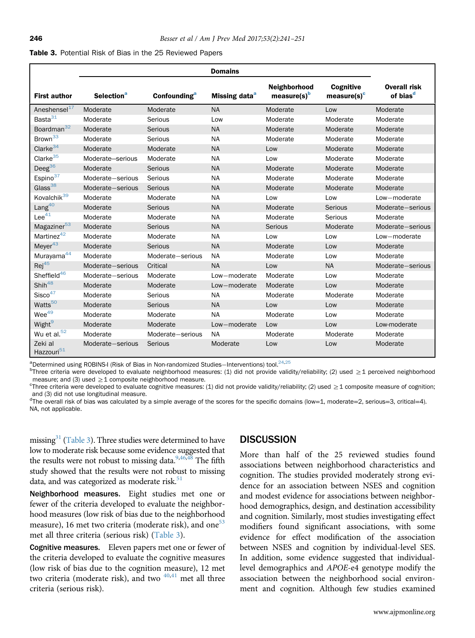<span id="page-5-0"></span>

|  |  |  |  |  |  | <b>Table 3.</b> Potential Risk of Bias in the 25 Reviewed Papers |  |
|--|--|--|--|--|--|------------------------------------------------------------------|--|
|--|--|--|--|--|--|------------------------------------------------------------------|--|

|                                   |                               |                          | <b>Domains</b>            |                                |                                    |                                             |
|-----------------------------------|-------------------------------|--------------------------|---------------------------|--------------------------------|------------------------------------|---------------------------------------------|
| <b>First author</b>               | <b>Selection</b> <sup>a</sup> | Confounding <sup>a</sup> | Missing data <sup>a</sup> | Neighborhood<br>$measure(s)^D$ | <b>Cognitive</b><br>$measure(s)^c$ | <b>Overall risk</b><br>of bias <sup>d</sup> |
| Aneshensel <sup>17</sup>          | Moderate                      | Moderate                 | <b>NA</b>                 | Moderate                       | Low                                | Moderate                                    |
| Basta <sup>31</sup>               | Moderate                      | Serious                  | Low                       | Moderate                       | Moderate                           | Moderate                                    |
| Boardman <sup>32</sup>            | Moderate                      | Serious                  | <b>NA</b>                 | Moderate                       | Moderate                           | Moderate                                    |
| Brown <sup>33</sup>               | Moderate                      | Serious                  | <b>NA</b>                 | Moderate                       | Moderate                           | Moderate                                    |
| Clarke <sup>34</sup>              | Moderate                      | Moderate                 | <b>NA</b>                 | Low                            | Moderate                           | Moderate                                    |
| Clarke <sup>35</sup>              | Moderate-serious              | Moderate                 | <b>NA</b>                 | Low                            | Moderate                           | Moderate                                    |
| Deeg <sup>36</sup>                | Moderate                      | Serious                  | <b>NA</b>                 | Moderate                       | Moderate                           | Moderate                                    |
| Espino <sup>37</sup>              | Moderate-serious              | Serious                  | <b>NA</b>                 | Moderate                       | Moderate                           | Moderate                                    |
| Glass <sup>38</sup>               | Moderate-serious              | Serious                  | <b>NA</b>                 | Moderate                       | Moderate                           | Moderate                                    |
| Kovalchik <sup>39</sup>           | Moderate                      | Moderate                 | <b>NA</b>                 | Low                            | Low                                | Low-moderate                                |
| Lang $40$                         | Moderate                      | Serious                  | <b>NA</b>                 | Moderate                       | Serious                            | Moderate-serious                            |
| $Lee^{41}$                        | Moderate                      | Moderate                 | <b>NA</b>                 | Moderate                       | Serious                            | Moderate                                    |
| Magaziner <sup>53</sup>           | Moderate                      | Serious                  | <b>NA</b>                 | Serious                        | Moderate                           | Moderate-serious                            |
| Martinez <sup>42</sup>            | Moderate                      | Moderate                 | <b>NA</b>                 | Low                            | Low                                | Low-moderate                                |
| Meyer <sup>43</sup>               | Moderate                      | Serious                  | <b>NA</b>                 | Moderate                       | Low                                | Moderate                                    |
| Murayama <sup>44</sup>            | Moderate                      | Moderate-serious         | <b>NA</b>                 | Moderate                       | Low                                | Moderate                                    |
| Rej <sup>45</sup>                 | Moderate-serious              | Critical                 | <b>NA</b>                 | Low                            | <b>NA</b>                          | Moderate-serious                            |
| Sheffield <sup>46</sup>           | Moderate-serious              | Moderate                 | Low-moderate              | Moderate                       | Low                                | Moderate                                    |
| Shih <sup>48</sup>                | Moderate                      | Moderate                 | Low-moderate              | Moderate                       | Low                                | Moderate                                    |
| Sisco <sup>47</sup>               | Moderate                      | Serious                  | <b>NA</b>                 | Moderate                       | Moderate                           | Moderate                                    |
| Watts <sup>50</sup>               | Moderate                      | Serious                  | <b>NA</b>                 | Low                            | Low                                | Moderate                                    |
| $Wee^{49}$                        | Moderate                      | Moderate                 | <b>NA</b>                 | Moderate                       | Low                                | Moderate                                    |
| Wight <sup>9</sup>                | Moderate                      | Moderate                 | Low-moderate              | Low                            | Low                                | Low-moderate                                |
| Wu et al. <sup>52</sup>           | Moderate                      | Moderate-serious         | <b>NA</b>                 | Moderate                       | Moderate                           | Moderate                                    |
| Zeki al<br>Hazzouri <sup>51</sup> | Moderate-serious              | Serious                  | Moderate                  | Low                            | Low                                | Moderate                                    |

aDetermined using ROBINS-I (Risk of Bias in Non-randomized Studies-Interventions) tool.<sup>[24,25](#page-8-0)</sup>

<sup>b</sup>Three criteria were developed to evaluate neighborhood measures: (1) did not provide validity/reliability; (2) used  $\geq 1$  perceived neighborhood measure; and (3) used  $>1$  composite neighborhood measure.

 $c$ Three criteria were developed to evaluate cognitive measures: (1) did not provide validity/reliability; (2) used  $\geq$  1 composite measure of cognition; and (3) did not use longitudinal measure.

<sup>d</sup>The overall risk of bias was calculated by a simple average of the scores for the specific domains (low=1, moderate=2, serious=3, critical=4). NA, not applicable.

missing<sup>31</sup> (Table 3). Three studies were determined to have low to moderate risk because some evidence suggested that the results were not robust to missing data. $9,46,48$  $9,46,48$  The fifth study showed that the results were not robust to missing data, and was categorized as moderate risk.<sup>51</sup>

Neighborhood measures. Eight studies met one or fewer of the criteria developed to evaluate the neighborhood measures (low risk of bias due to the neighborhood measure), 16 met two criteria (moderate risk), and one<sup>53</sup> met all three criteria (serious risk) (Table 3).

Cognitive measures. Eleven papers met one or fewer of the criteria developed to evaluate the cognitive measures (low risk of bias due to the cognition measure), 12 met two criteria (moderate risk), and two  $40,41$  met all three criteria (serious risk).

### **DISCUSSION**

More than half of the 25 reviewed studies found associations between neighborhood characteristics and cognition. The studies provided moderately strong evidence for an association between NSES and cognition and modest evidence for associations between neighborhood demographics, design, and destination accessibility and cognition. Similarly, most studies investigating effect modifiers found significant associations, with some evidence for effect modification of the association between NSES and cognition by individual-level SES. In addition, some evidence suggested that individuallevel demographics and APOE-e4 genotype modify the association between the neighborhood social environment and cognition. Although few studies examined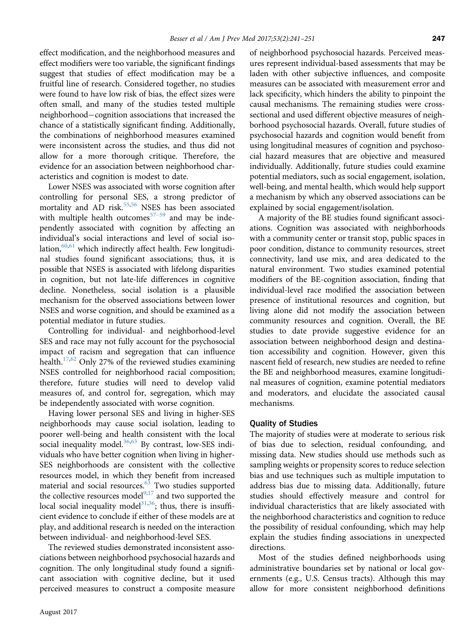effect modification, and the neighborhood measures and effect modifiers were too variable, the significant findings suggest that studies of effect modification may be a fruitful line of research. Considered together, no studies were found to have low risk of bias, the effect sizes were often small, and many of the studies tested multiple neighborhood-cognition associations that increased the chance of a statistically significant finding. Additionally, the combinations of neighborhood measures examined were inconsistent across the studies, and thus did not allow for a more thorough critique. Therefore, the evidence for an association between neighborhood characteristics and cognition is modest to date.

Lower NSES was associated with worse cognition after controlling for personal SES, a strong predictor of mortality and AD risk.<sup>[55](#page-9-0),[56](#page-9-0)</sup> NSES has been associated with multiple health outcomes $57-59$  $57-59$  $57-59$  and may be independently associated with cognition by affecting an individual's social interactions and level of social isolation,<sup>60,61</sup> which indirectly affect health. Few longitudinal studies found significant associations; thus, it is possible that NSES is associated with lifelong disparities in cognition, but not late-life differences in cognitive decline. Nonetheless, social isolation is a plausible mechanism for the observed associations between lower NSES and worse cognition, and should be examined as a potential mediator in future studies.

Controlling for individual- and neighborhood-level SES and race may not fully account for the psychosocial impact of racism and segregation that can influence health[.17](#page-8-0)[,62](#page-9-0) Only 27% of the reviewed studies examining NSES controlled for neighborhood racial composition; therefore, future studies will need to develop valid measures of, and control for, segregation, which may be independently associated with worse cognition.

Having lower personal SES and living in higher-SES neighborhoods may cause social isolation, leading to poorer well-being and health consistent with the local social inequality model. $36,63$  $36,63$  $36,63$  By contrast, low-SES individuals who have better cognition when living in higher-SES neighborhoods are consistent with the collective resources model, in which they benefit from increased material and social resources.<sup>63</sup> Two studies supported the collective resources model $9,17$  and two supported the local social inequality model<sup>31,36</sup>; thus, there is insufficient evidence to conclude if either of these models are at play, and additional research is needed on the interaction between individual- and neighborhood-level SES.

The reviewed studies demonstrated inconsistent associations between neighborhood psychosocial hazards and cognition. The only longitudinal study found a significant association with cognitive decline, but it used perceived measures to construct a composite measure

August 2017

of neighborhood psychosocial hazards. Perceived measures represent individual-based assessments that may be laden with other subjective influences, and composite measures can be associated with measurement error and lack specificity, which hinders the ability to pinpoint the causal mechanisms. The remaining studies were crosssectional and used different objective measures of neighborhood psychosocial hazards. Overall, future studies of psychosocial hazards and cognition would benefit from using longitudinal measures of cognition and psychosocial hazard measures that are objective and measured individually. Additionally, future studies could examine potential mediators, such as social engagement, isolation, well-being, and mental health, which would help support a mechanism by which any observed associations can be explained by social engagement/isolation.

A majority of the BE studies found significant associations. Cognition was associated with neighborhoods with a community center or transit stop, public spaces in poor condition, distance to community resources, street connectivity, land use mix, and area dedicated to the natural environment. Two studies examined potential modifiers of the BE-cognition association, finding that individual-level race modified the association between presence of institutional resources and cognition, but living alone did not modify the association between community resources and cognition. Overall, the BE studies to date provide suggestive evidence for an association between neighborhood design and destination accessibility and cognition. However, given this nascent field of research, new studies are needed to refine the BE and neighborhood measures, examine longitudinal measures of cognition, examine potential mediators and moderators, and elucidate the associated causal mechanisms.

#### Quality of Studies

The majority of studies were at moderate to serious risk of bias due to selection, residual confounding, and missing data. New studies should use methods such as sampling weights or propensity scores to reduce selection bias and use techniques such as multiple imputation to address bias due to missing data. Additionally, future studies should effectively measure and control for individual characteristics that are likely associated with the neighborhood characteristics and cognition to reduce the possibility of residual confounding, which may help explain the studies finding associations in unexpected directions.

Most of the studies defined neighborhoods using administrative boundaries set by national or local governments (e.g., U.S. Census tracts). Although this may allow for more consistent neighborhood definitions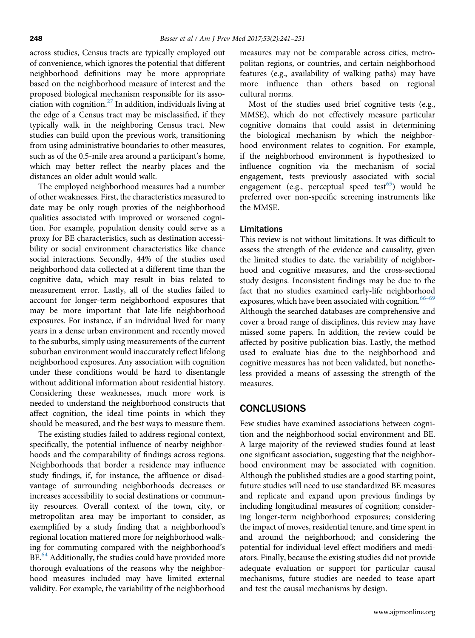across studies, Census tracts are typically employed out of convenience, which ignores the potential that different neighborhood definitions may be more appropriate based on the neighborhood measure of interest and the proposed biological mechanism responsible for its association with cognition. $27$  In addition, individuals living at the edge of a Census tract may be misclassified, if they typically walk in the neighboring Census tract. New studies can build upon the previous work, transitioning from using administrative boundaries to other measures, such as of the 0.5-mile area around a participant's home, which may better reflect the nearby places and the distances an older adult would walk.

The employed neighborhood measures had a number of other weaknesses. First, the characteristics measured to date may be only rough proxies of the neighborhood qualities associated with improved or worsened cognition. For example, population density could serve as a proxy for BE characteristics, such as destination accessibility or social environment characteristics like chance social interactions. Secondly, 44% of the studies used neighborhood data collected at a different time than the cognitive data, which may result in bias related to measurement error. Lastly, all of the studies failed to account for longer-term neighborhood exposures that may be more important that late-life neighborhood exposures. For instance, if an individual lived for many years in a dense urban environment and recently moved to the suburbs, simply using measurements of the current suburban environment would inaccurately reflect lifelong neighborhood exposures. Any association with cognition under these conditions would be hard to disentangle without additional information about residential history. Considering these weaknesses, much more work is needed to understand the neighborhood constructs that affect cognition, the ideal time points in which they should be measured, and the best ways to measure them.

The existing studies failed to address regional context, specifically, the potential influence of nearby neighborhoods and the comparability of findings across regions. Neighborhoods that border a residence may influence study findings, if, for instance, the affluence or disadvantage of surrounding neighborhoods decreases or increases accessibility to social destinations or community resources. Overall context of the town, city, or metropolitan area may be important to consider, as exemplified by a study finding that a neighborhood's regional location mattered more for neighborhood walking for commuting compared with the neighborhood's BE.<sup>64</sup> Additionally, the studies could have provided more thorough evaluations of the reasons why the neighborhood measures included may have limited external validity. For example, the variability of the neighborhood measures may not be comparable across cities, metropolitan regions, or countries, and certain neighborhood features (e.g., availability of walking paths) may have more influence than others based on regional cultural norms.

Most of the studies used brief cognitive tests (e.g., MMSE), which do not effectively measure particular cognitive domains that could assist in determining the biological mechanism by which the neighborhood environment relates to cognition. For example, if the neighborhood environment is hypothesized to influence cognition via the mechanism of social engagement, tests previously associated with social engagement (e.g., perceptual speed test $^{65}$ ) would be preferred over non-specific screening instruments like the MMSE.

#### Limitations

This review is not without limitations. It was difficult to assess the strength of the evidence and causality, given the limited studies to date, the variability of neighborhood and cognitive measures, and the cross-sectional study designs. Inconsistent findings may be due to the fact that no studies examined early-life neighborhood exposures, which have been associated with cognition. $66-69$  $66-69$ Although the searched databases are comprehensive and cover a broad range of disciplines, this review may have missed some papers. In addition, the review could be affected by positive publication bias. Lastly, the method used to evaluate bias due to the neighborhood and cognitive measures has not been validated, but nonetheless provided a means of assessing the strength of the measures.

#### CONCLUSIONS

Few studies have examined associations between cognition and the neighborhood social environment and BE. A large majority of the reviewed studies found at least one significant association, suggesting that the neighborhood environment may be associated with cognition. Although the published studies are a good starting point, future studies will need to use standardized BE measures and replicate and expand upon previous findings by including longitudinal measures of cognition; considering longer-term neighborhood exposures; considering the impact of moves, residential tenure, and time spent in and around the neighborhood; and considering the potential for individual-level effect modifiers and mediators. Finally, because the existing studies did not provide adequate evaluation or support for particular causal mechanisms, future studies are needed to tease apart and test the causal mechanisms by design.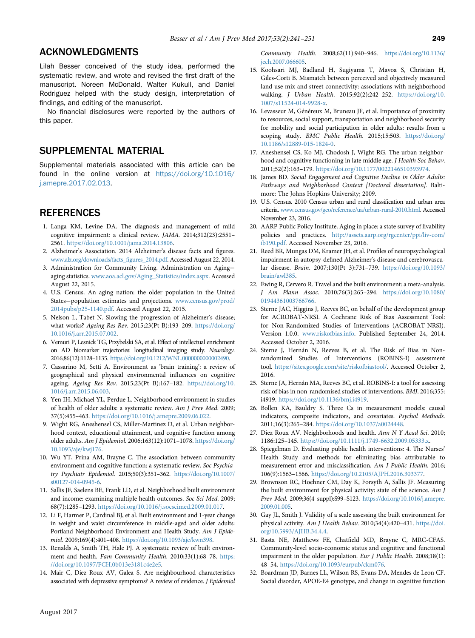#### <span id="page-8-0"></span>ACKNOWLEDGMENTS

Lilah Besser conceived of the study idea, performed the systematic review, and wrote and revised the first draft of the manuscript. Noreen McDonald, Walter Kukull, and Daniel Rodriguez helped with the study design, interpretation of findings, and editing of the manuscript.

No financial disclosures were reported by the authors of this paper.

# SUPPLEMENTAL MATERIAL

Supplemental materials associated with this article can be found in the online version at [https://doi.org/10.1016/](https://doi.org/10.1016/j.amepre.2017.02.013) [j.amepre.2017.02.013.](https://doi.org/10.1016/j.amepre.2017.02.013)

## **REFERENCES**

- 1. Langa KM, Levine DA. The diagnosis and management of mild cognitive impairment: a clinical review. JAMA. 2014;312(23):2551– 2561. [https://doi.org/10.1001/jama.2014.13806.](https://doi.org/10.1001/jama.2014.13806)
- 2. Alzheimer's Association. 2014 Alzheimer's disease facts and figures. [www.alz.org/downloads/facts\\_](http://www.alz.org/downloads/facts_figures_2014.pdf)figures\_2014.pdf. Accessed August 22, 2014.
- 3. Administration for Community Living. Administration on Aging aging statistics. [www.aoa.acl.gov/Aging\\_Statistics/index.aspx.](http://www.aoa.acl.gov/Aging_Statistics/index.aspx) Accessed August 22, 2015.
- 4. U.S. Census. An aging nation: the older population in the United States-population estimates and projections. [www.census.gov/prod/](http://www.census.gov/prod/2014pubs/p25-1140.pdf) [2014pubs/p25-1140.pdf.](http://www.census.gov/prod/2014pubs/p25-1140.pdf) Accessed August 22, 2015.
- 5. Nelson L, Tabet N. Slowing the progression of Alzheimer's disease; what works? Ageing Res Rev. 2015;23(Pt B):193–209. [https://doi.org/](https://doi.org/10.1016/j.arr.2015.07.002) [10.1016/j.arr.2015.07.002](https://doi.org/10.1016/j.arr.2015.07.002).
- 6. Vemuri P, Lesnick TG, Przybelski SA, et al. Effect of intellectual enrichment on AD biomarker trajectories: longitudinal imaging study. Neurology. 2016;86(12):1128–1135. [https://doi.org/10.1212/WNL.0000000000002490.](https://doi.org/10.1212/WNL.0000000000002490)
- 7. Cassarino M, Setti A. Environment as 'brain training': a review of geographical and physical environmental influences on cognitive ageing. Ageing Res Rev. 2015;23(Pt B):167–182. [https://doi.org/10.](https://doi.org/10.1016/j.arr.2015.06.003) [1016/j.arr.2015.06.003](https://doi.org/10.1016/j.arr.2015.06.003).
- 8. Yen IH, Michael YL, Perdue L. Neighborhood environment in studies of health of older adults: a systematic review. Am J Prev Med. 2009; 37(5):455–463. [https://doi.org/10.1016/j.amepre.2009.06.022.](https://doi.org/10.1016/j.amepre.2009.06.022)
- 9. Wight RG, Aneshensel CS, Miller-Martinez D, et al. Urban neighborhood context, educational attainment, and cognitive function among older adults. Am J Epidemiol. 2006;163(12):1071–1078. [https://doi.org/](https://doi.org/10.1093/aje/kwj176) [10.1093/aje/kwj176.](https://doi.org/10.1093/aje/kwj176)
- 10. Wu YT, Prina AM, Brayne C. The association between community environment and cognitive function: a systematic review. Soc Psychiatry Psychiatr Epidemiol. 2015;50(3):351–362. [https://doi.org/10.1007/](https://doi.org/10.1007/s00127-014-0945-6) [s00127-014-0945-6](https://doi.org/10.1007/s00127-014-0945-6).
- 11. Sallis JF, Saelens BE, Frank LD, et al. Neighborhood built environment and income: examining multiple health outcomes. Soc Sci Med. 2009; 68(7):1285–1293. <https://doi.org/10.1016/j.socscimed.2009.01.017>.
- 12. Li F, Harmer P, Cardinal BJ, et al. Built environment and 1-year change in weight and waist circumference in middle-aged and older adults: Portland Neighborhood Environment and Health Study. Am J Epidemiol. 2009;169(4):401–408. <https://doi.org/10.1093/aje/kwn398>.
- 13. Renalds A, Smith TH, Hale PJ. A systematic review of built environment and health. Fam Community Health. 2010;33(1):68–78. [https:](https://doi.org/10.1097/FCH.0b013e3181c4e2e5) [//doi.org/10.1097/FCH.0b013e3181c4e2e5](https://doi.org/10.1097/FCH.0b013e3181c4e2e5).
- 14. Mair C, Diez Roux AV, Galea S. Are neighbourhood characteristics associated with depressive symptoms? A review of evidence. J Epidemiol

Community Health. 2008;62(11):940–946. [https://doi.org/10.1136/](https://doi.org/10.1136/jech.2007.066605) [jech.2007.066605.](https://doi.org/10.1136/jech.2007.066605)

- 15. Koohsari MJ, Badland H, Sugiyama T, Mavoa S, Christian H, Giles-Corti B. Mismatch between perceived and objectively measured land use mix and street connectivity: associations with neighborhood walking. J Urban Health. 2015;92(2):242–252. [https://doi.org/10.](https://doi.org/10.1007/s11524-014-9928-x) [1007/s11524-014-9928-x](https://doi.org/10.1007/s11524-014-9928-x).
- 16. Levasseur M, Généreux M, Bruneau JF, et al. Importance of proximity to resources, social support, transportation and neighborhood security for mobility and social participation in older adults: results from a scoping study. BMC Public Health. 2015;15:503. [https://doi.org/](https://doi.org/10.1186/s12889-015-1824-0) [10.1186/s12889-015-1824-0.](https://doi.org/10.1186/s12889-015-1824-0)
- 17. Aneshensel CS, Ko MJ, Chodosh J, Wight RG. The urban neighborhood and cognitive functioning in late middle age. J Health Soc Behav. 2011;52(2):163–179. [https://doi.org/10.1177/0022146510393974.](https://doi.org/10.1177/0022146510393974)
- 18. James BD. Social Engagement and Cognitive Decline in Older Adults: Pathways and Neighborhood Context [Doctoral dissertation]. Baltimore: The Johns Hopkins University; 2009.
- 19. U.S. Census. 2010 Census urban and rural classification and urban area criteria. [www.census.gov/geo/reference/ua/urban-rural-2010.html.](http://www.census.gov/geo/reference/ua/urban-rural-2010.html) Accessed November 23, 2016.
- 20. AARP Public Policy Institute. Aging in place: a state survey of livability policies and practices. [http://assets.aarp.org/rgcenter/ppi/liv-com/](http://assets.aarp.org/rgcenter/ppi/liv-com/ib190.pdf) [ib190.pdf](http://assets.aarp.org/rgcenter/ppi/liv-com/ib190.pdf). Accessed November 23, 2016.
- 21. Reed BR, Mungas DM, Kramer JH, et al. Profiles of neuropsychological impairment in autopsy-defined Alzheimer's disease and cerebrovascular disease. Brain. 2007;130(Pt 3):731–739. [https://doi.org/10.1093/](https://doi.org/10.1093/brain/awl385) [brain/awl385](https://doi.org/10.1093/brain/awl385).
- 22. Ewing R, Cervero R. Travel and the built environment: a meta-analysis. J Am Plann Assoc. 2010;76(3):265–294. [https://doi.org/10.1080/](https://doi.org/10.1080/01944361003766766) [01944361003766766](https://doi.org/10.1080/01944361003766766).
- 23. Sterne JAC, Higgins J, Reeves BC, on behalf of the development group for ACROBAT-NRSI. A Cochrane Risk of Bias Assessment Tool: for Non-Randomized Studies of Interventions (ACROBAT-NRSI). Version 1.0.0. [www.riskofbias.info.](http://www.riskofbias.info) Published September 24, 2014. Accessed October 2, 2016.
- 24. Sterne J, Hernán N, Reeves B, et al. The Risk of Bias in Nonrandomized Studies of Interventions (ROBINS-I) assessment tool. <https://sites.google.com/site/riskofbiastool/>. Accessed October 2, 2016.
- 25. Sterne JA, Hernán MA, Reeves BC, et al. ROBINS-I: a tool for assessing risk of bias in non-randomised studies of interventions. BMJ. 2016;355: i4919. [https://doi.org/10.1136/bmj.i4919.](https://doi.org/10.1136/bmj.i4919)
- 26. Bollen KA, Bauldry S. Three Cs in measurement models: causal indicators, composite indicators, and covariates. Psychol Methods. 2011;16(3):265–284. [https://doi.org/10.1037/a0024448.](https://doi.org/10.1037/a0024448)
- 27. Diez Roux AV. Neighborhoods and health. Ann N Y Acad Sci. 2010; 1186:125–145. [https://doi.org/10.1111/j.1749-6632.2009.05333.x.](https://doi.org/10.1111/j.1749-6632.2009.05333.x)
- 28. Spiegelman D. Evaluating public health interventions: 4. The Nurses' Health Study and methods for eliminating bias attributable to measurement error and misclassification. Am J Public Health. 2016; 106(9):1563–1566. <https://doi.org/10.2105/AJPH.2016.303377>.
- 29. Brownson RC, Hoehner CM, Day K, Forsyth A, Sallis JF. Measuring the built environment for physical activity: state of the science. Am J Prev Med. 2009;36(4 suppl):S99–S123. [https://doi.org/10.1016/j.amepre.](https://doi.org/10.1016/j.amepre.2009.01.005) [2009.01.005.](https://doi.org/10.1016/j.amepre.2009.01.005)
- 30. Gay JL, Smith J. Validity of a scale assessing the built environment for physical activity. Am J Health Behav. 2010;34(4):420-431. [https://doi.](https://doi.org/10.5993/AJHB.34.4.4) [org/10.5993/AJHB.34.4.4](https://doi.org/10.5993/AJHB.34.4.4).
- 31. Basta NE, Matthews FE, Chatfield MD, Brayne C, MRC-CFAS. Community-level socio-economic status and cognitive and functional impairment in the older population. Eur J Public Health. 2008;18(1): 48–54. [https://doi.org/10.1093/eurpub/ckm076.](https://doi.org/10.1093/eurpub/ckm076)
- 32. Boardman JD, Barnes LL, Wilson RS, Evans DA, Mendes de Leon CF. Social disorder, APOE-E4 genotype, and change in cognitive function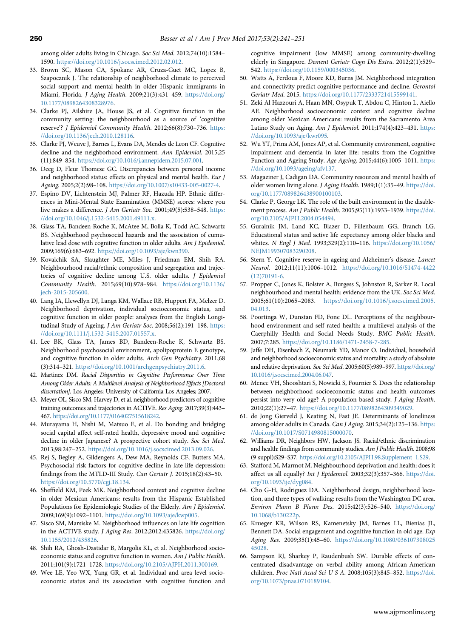<span id="page-9-0"></span>among older adults living in Chicago. Soc Sci Med. 2012;74(10):1584– 1590. <https://doi.org/10.1016/j.socscimed.2012.02.012>.

- 33. Brown SC, Mason CA, Spokane AR, Cruza-Guet MC, Lopez B, Szapocznik J. The relationship of neighborhood climate to perceived social support and mental health in older Hispanic immigrants in Miami, Florida. J Aging Health. 2009;21(3):431–459. [https://doi.org/](https://doi.org/10.1177/0898264308328976) [10.1177/0898264308328976.](https://doi.org/10.1177/0898264308328976)
- 34. Clarke PJ, Ailshire JA, House JS, et al. Cognitive function in the community setting: the neighbourhood as a source of 'cognitive reserve'? J Epidemiol Community Health. 2012;66(8):730–736. [https:](https://doi.org/10.1136/jech.2010.128116) [//doi.org/10.1136/jech.2010.128116](https://doi.org/10.1136/jech.2010.128116).
- 35. Clarke PJ, Weuve J, Barnes L, Evans DA, Mendes de Leon CF. Cognitive decline and the neighborhood environment. Ann Epidemiol. 2015;25 (11):849–854. <https://doi.org/10.1016/j.annepidem.2015.07.001>.
- 36. Deeg D, Fleur Thomese GC. Discrepancies between personal income and neighborhood status: effects on physical and mental health. Eur J Ageing. 2005;2(2):98–108. [https://doi.org/10.1007/s10433-005-0027-4.](https://doi.org/10.1007/s10433-005-0027-4)
- 37. Espino DV, Lichtenstein MJ, Palmer RF, Hazuda HP. Ethnic differences in Mini-Mental State Examination (MMSE) scores: where you live makes a difference. J Am Geriatr Soc. 2001;49(5):538–548. [https:](https://doi.org/10.1046/j.1532-5415.2001.49111.x) [//doi.org/10.1046/j.1532-5415.2001.49111.x](https://doi.org/10.1046/j.1532-5415.2001.49111.x).
- 38. Glass TA, Bandeen-Roche K, McAtee M, Bolla K, Todd AC, Schwartz BS. Neighborhood psychosocial hazards and the association of cumulative lead dose with cognitive function in older adults. Am J Epidemiol. 2009;169(6):683–692. [https://doi.org/10.1093/aje/kwn390.](https://doi.org/10.1093/aje/kwn390)
- 39. Kovalchik SA, Slaughter ME, Miles J, Friedman EM, Shih RA. Neighbourhood racial/ethnic composition and segregation and trajectories of cognitive decline among U.S. older adults. J Epidemiol Community Health. 2015;69(10):978–984. [https://doi.org/10.1136/](https://doi.org/10.1136/jech-2015-205600) [jech-2015-205600](https://doi.org/10.1136/jech-2015-205600).
- 40. Lang IA, Llewellyn DJ, Langa KM, Wallace RB, Huppert FA, Melzer D. Neighborhood deprivation, individual socioeconomic status, and cognitive function in older people: analyses from the English Longitudinal Study of Ageing. J Am Geriatr Soc. 2008;56(2):191-198. [https:](https://doi.org/10.1111/j.1532-5415.2007.01557.x) [//doi.org/10.1111/j.1532-5415.2007.01557.x](https://doi.org/10.1111/j.1532-5415.2007.01557.x).
- 41. Lee BK, Glass TA, James BD, Bandeen-Roche K, Schwartz BS. Neighborhood psychosocial environment, apolipoprotein E genotype, and cognitive function in older adults. Arch Gen Psychiatry. 2011;68 (3):314–321. [https://doi.org/10.1001/archgenpsychiatry.2011.6.](https://doi.org/10.1001/archgenpsychiatry.2011.6)
- 42. Martinez DM. Racial Disparities in Cognitive Performance Over Time Among Older Adults: A Multilevel Analysis of Neighborhood Effects [Doctoral dissertation]. Los Angeles: University of California Los Angeles; 2007.
- 43. Meyer OL, Sisco SM, Harvey D, et al. neighborhood predictors of cognitive training outcomes and trajectories in ACTIVE. Res Aging. 2017;39(3):443– 467. [https://doi.org/10.1177/0164027515618242.](https://doi.org/10.1177/0164027515618242)
- 44. Murayama H, Nishi M, Matsuo E, et al. Do bonding and bridging social capital affect self-rated health, depressive mood and cognitive decline in older Japanese? A prospective cohort study. Soc Sci Med. 2013;98:247–252. <https://doi.org/10.1016/j.socscimed.2013.09.026>.
- 45. Rej S, Begley A, Gildengers A, Dew MA, Reynolds CF, Butters MA. Psychosocial risk factors for cognitive decline in late-life depression: findings from the MTLD-III Study. Can Geriatr J. 2015;18(2):43–50. <https://doi.org/10.5770/cgj.18.134>.
- 46. Sheffield KM, Peek MK. Neighborhood context and cognitive decline in older Mexican Americans: results from the Hispanic Established Populations for Epidemiologic Studies of the Elderly. Am J Epidemiol. 2009;169(9):1092–1101. [https://doi.org/10.1093/aje/kwp005.](https://doi.org/10.1093/aje/kwp005)
- 47. Sisco SM, Marsiske M. Neighborhood influences on late life cognition in the ACTIVE study. J Aging Res. 2012;2012:435826. [https://doi.org/](https://doi.org/10.1155/2012/435826) [10.1155/2012/435826](https://doi.org/10.1155/2012/435826).
- 48. Shih RA, Ghosh-Dastidar B, Margolis KL, et al. Neighborhood socioeconomic status and cognitive function in women. Am J Public Health. 2011;101(9):1721–1728. [https://doi.org/10.2105/AJPH.2011.300169.](https://doi.org/10.2105/AJPH.2011.300169)
- 49. Wee LE, Yeo WX, Yang GR, et al. Individual and area level socioeconomic status and its association with cognitive function and

cognitive impairment (low MMSE) among community-dwelling elderly in Singapore. Dement Geriatr Cogn Dis Extra. 2012;2(1):529– 542. [https://doi.org/10.1159/000345036.](https://doi.org/10.1159/000345036)

- 50. Watts A, Ferdous F, Moore KD, Burns JM. Neighborhood integration and connectivity predict cognitive performance and decline. Gerontol Geriatr Med. 2015. [https://doi.org/10.1177/2333721415599141.](https://doi.org/10.1177/2333721415599141)
- 51. Zeki Al Hazzouri A, Haan MN, Osypuk T, Abdou C, Hinton L, Aiello AE. Neighborhood socioeconomic context and cognitive decline among older Mexican Americans: results from the Sacramento Area Latino Study on Aging. Am J Epidemiol. 2011;174(4):423–431. [https:](https://doi.org/10.1093/aje/kwr095) [//doi.org/10.1093/aje/kwr095.](https://doi.org/10.1093/aje/kwr095)
- 52. Wu YT, Prina AM, Jones AP, et al. Community environment, cognitive impairment and dementia in later life: results from the Cognitive Function and Ageing Study. Age Ageing. 2015;44(6):1005–1011. [https:](https://doi.org/10.1093/ageing/afv137) [//doi.org/10.1093/ageing/afv137.](https://doi.org/10.1093/ageing/afv137)
- 53. Magaziner J, Cadigan DA. Community resources and mental health of older women living alone. J Aging Health. 1989;1(1):35–49. [https://doi.](https://doi.org/10.1177/089826438900100103) [org/10.1177/089826438900100103.](https://doi.org/10.1177/089826438900100103)
- 54. Clarke P, George LK. The role of the built environment in the disablement process. Am J Public Health. 2005;95(11):1933–1939. [https://doi.](https://doi.org/10.2105/AJPH.2004.054494) [org/10.2105/AJPH.2004.054494](https://doi.org/10.2105/AJPH.2004.054494).
- 55. Guralnik JM, Land KC, Blazer D, Fillenbaum GG, Branch LG. Educational status and active life expectancy among older blacks and whites. N Engl J Med. 1993;329(2):110–116. [https://doi.org/10.1056/](https://doi.org/10.1056/NEJM199307083290208) [NEJM199307083290208.](https://doi.org/10.1056/NEJM199307083290208)
- 56. Stern Y. Cognitive reserve in ageing and Alzheimer's disease. Lancet Neurol. 2012;11(11):1006–1012. [https://doi.org/10.1016/S1474-4422](https://doi.org/10.1016/S1474-4422(12)70191-6) [\(12\)70191-6](https://doi.org/10.1016/S1474-4422(12)70191-6).
- 57. Propper C, Jones K, Bolster A, Burgess S, Johnston R, Sarker R. Local neighbourhood and mental health: evidence from the UK. Soc Sci Med. 2005;61(10):2065–2083. [https://doi.org/10.1016/j.socscimed.2005.](https://doi.org/10.1016/j.socscimed.2005.04.013) [04.013.](https://doi.org/10.1016/j.socscimed.2005.04.013)
- 58. Poortinga W, Dunstan FD, Fone DL. Perceptions of the neighbourhood environment and self rated health: a multilevel analysis of the Caerphilly Health and Social Needs Study. BMC Public Health. 2007;7:285. <https://doi.org/10.1186/1471-2458-7-285>.
- 59. Jaffe DH, Eisenbach Z, Neumark YD, Manor O. Individual, household and neighborhood socioeconomic status and mortality: a study of absolute and relative deprivation. Soc Sci Med. 2005;60(5):989–997. [https://doi.org/](https://doi.org/10.1016/j.socscimed.2004.06.047) [10.1016/j.socscimed.2004.06.047.](https://doi.org/10.1016/j.socscimed.2004.06.047)
- 60. Menec VH, Shooshtari S, Nowicki S, Fournier S. Does the relationship between neighborhood socioeconomic status and health outcomes persist into very old age? A population-based study. J Aging Health. 2010;22(1):27–47. <https://doi.org/10.1177/0898264309349029>.
- 61. de Jong Gierveld J, Keating N, Fast JE. Determinants of loneliness among older adults in Canada. Can J Aging. 2015;34(2):125–136. [https:](https://doi.org/10.1017/S0714980815000070) [//doi.org/10.1017/S0714980815000070.](https://doi.org/10.1017/S0714980815000070)
- 62. Williams DR, Neighbors HW, Jackson JS. Racial/ethnic discrimination and health: findings from community studies. Am J Public Health. 2008;98 (9 suppl):S29–S37. [https://doi.org/10.2105/AJPH.98.Supplement\\_1.S29](https://doi.org/10.2105/AJPH.98.Supplement_1.S29).
- 63. Stafford M, Marmot M. Neighbourhood deprivation and health: does it affect us all equally? Int J Epidemiol. 2003;32(3):357–366. [https://doi.](https://doi.org/10.1093/ije/dyg084) [org/10.1093/ije/dyg084.](https://doi.org/10.1093/ije/dyg084)
- 64. Cho G-H, Rodriguez DA. Neighborhood design, neighborhood location, and three types of walking: results from the Washington DC area. Environ Plann B Plann Des. 2015;42(3):526–540. [https://doi.org/](https://doi.org/10.1068/b130222p) [10.1068/b130222p.](https://doi.org/10.1068/b130222p)
- 65. Krueger KR, Wilson RS, Kamenetsky JM, Barnes LL, Bienias JL, Bennett DA. Social engagement and cognitive function in old age. Exp Aging Res. 2009;35(1):45–60. [https://doi.org/10.1080/036107308025](https://doi.org/10.1080/03610730802545028) [45028](https://doi.org/10.1080/03610730802545028).
- 66. Sampson RJ, Sharkey P, Raudenbush SW. Durable effects of concentrated disadvantage on verbal ability among African-American children. Proc Natl Acad Sci U S A. 2008;105(3):845–852. [https://doi.](https://doi.org/10.1073/pnas.0710189104) [org/10.1073/pnas.0710189104.](https://doi.org/10.1073/pnas.0710189104)